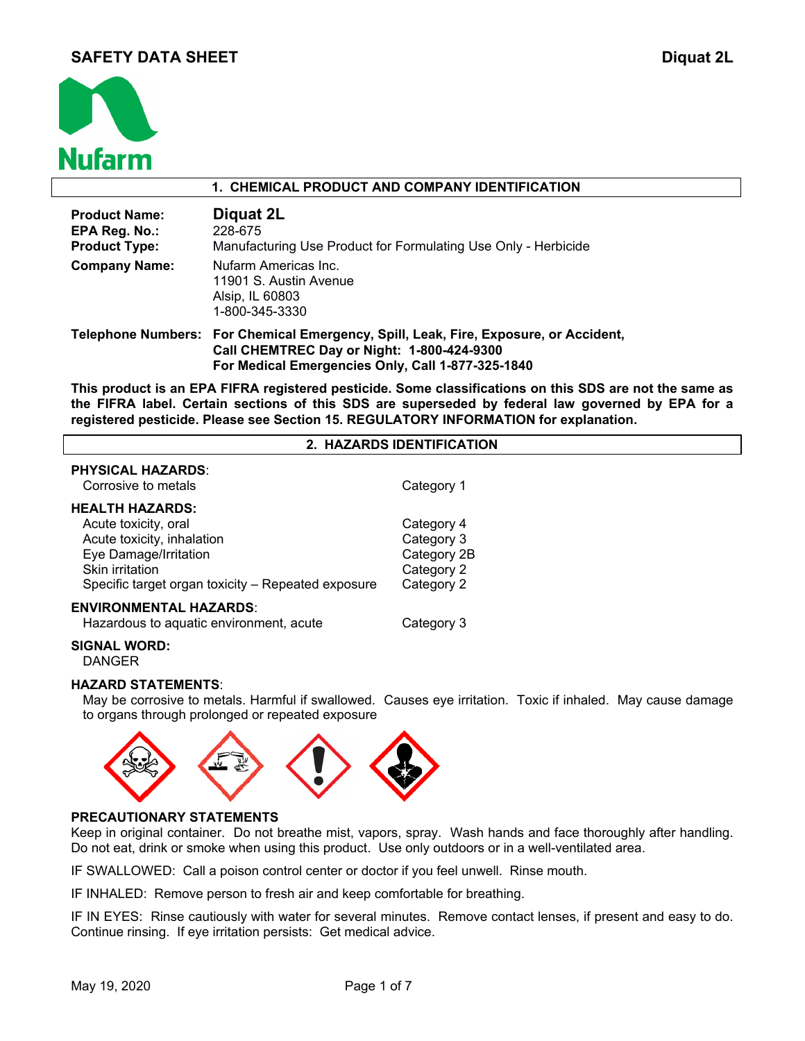

### **1. CHEMICAL PRODUCT AND COMPANY IDENTIFICATION**

| <b>Product Name:</b><br>EPA Reg. No.:<br><b>Product Type:</b> | Diquat 2L<br>228-675<br>Manufacturing Use Product for Formulating Use Only - Herbicide                                                          |
|---------------------------------------------------------------|-------------------------------------------------------------------------------------------------------------------------------------------------|
| <b>Company Name:</b>                                          | Nufarm Americas Inc.<br>11901 S. Austin Avenue<br>Alsip, IL 60803<br>1-800-345-3330                                                             |
|                                                               | Telephone Numbers: For Chemical Emergency, Spill, Leak, Fire, Exposure, or Accident,<br>$O_{\mathcal{A}}$ U CUEMEREC BAU ANG ALAH 4000 494 0200 |

**Call CHEMTREC Day or Night: 1-800-424-9300 For Medical Emergencies Only, Call 1-877-325-1840** 

**This product is an EPA FIFRA registered pesticide. Some classifications on this SDS are not the same as the FIFRA label. Certain sections of this SDS are superseded by federal law governed by EPA for a registered pesticide. Please see Section 15. REGULATORY INFORMATION for explanation.**

# **2. HAZARDS IDENTIFICATION**

| <b>PHYSICAL HAZARDS:</b><br>Corrosive to metals    | Category 1  |
|----------------------------------------------------|-------------|
| <b>HEALTH HAZARDS:</b>                             |             |
| Acute toxicity, oral                               | Category 4  |
| Acute toxicity, inhalation                         | Category 3  |
| Eye Damage/Irritation                              | Category 2B |
| Skin irritation                                    | Category 2  |
| Specific target organ toxicity - Repeated exposure | Category 2  |
| <b>ENVIRONMENTAL HAZARDS:</b>                      |             |
| Hazardous to aquatic environment, acute            | Category 3  |

### **SIGNAL WORD:**

DANGER

### **HAZARD STATEMENTS**:

May be corrosive to metals. Harmful if swallowed. Causes eye irritation. Toxic if inhaled. May cause damage to organs through prolonged or repeated exposure



# **PRECAUTIONARY STATEMENTS**

Keep in original container. Do not breathe mist, vapors, spray. Wash hands and face thoroughly after handling. Do not eat, drink or smoke when using this product. Use only outdoors or in a well-ventilated area.

IF SWALLOWED: Call a poison control center or doctor if you feel unwell. Rinse mouth.

IF INHALED: Remove person to fresh air and keep comfortable for breathing.

IF IN EYES: Rinse cautiously with water for several minutes. Remove contact lenses, if present and easy to do. Continue rinsing. If eye irritation persists: Get medical advice.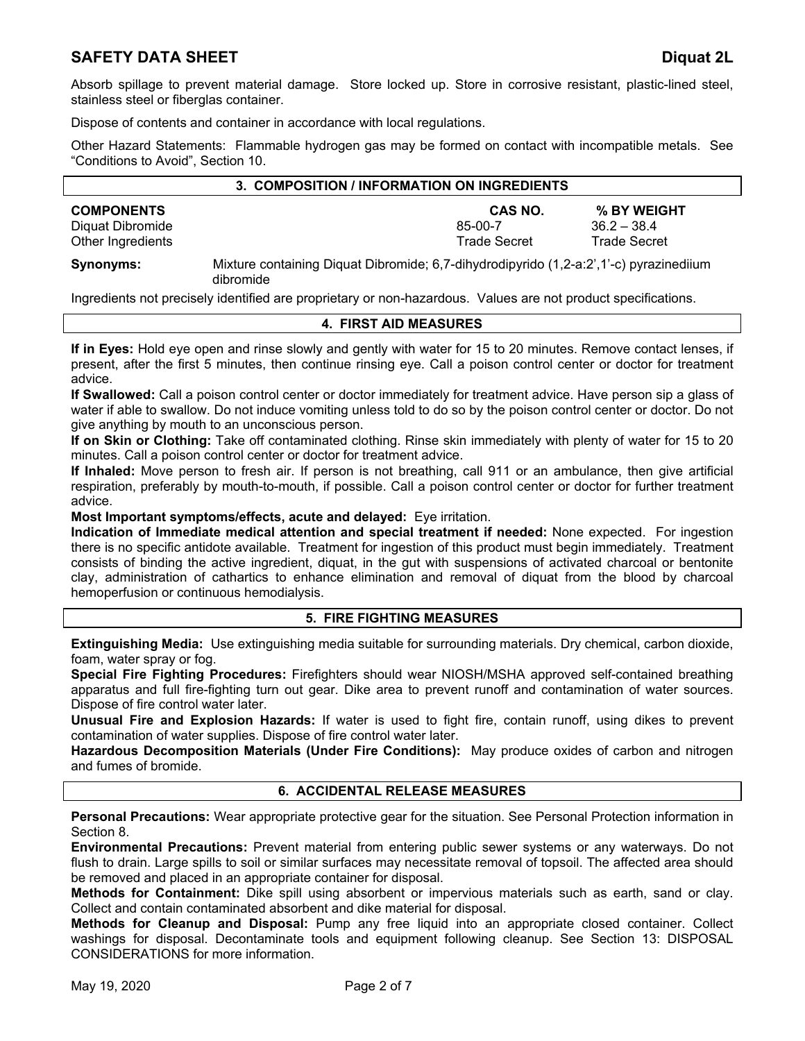Absorb spillage to prevent material damage. Store locked up. Store in corrosive resistant, plastic-lined steel, stainless steel or fiberglas container.

Dispose of contents and container in accordance with local regulations.

Other Hazard Statements: Flammable hydrogen gas may be formed on contact with incompatible metals. See "Conditions to Avoid", Section 10.

| 3. COMPOSITION / INFORMATION ON INGREDIENTS |  |  |  |    |  |                     |                |                     |  |
|---------------------------------------------|--|--|--|----|--|---------------------|----------------|---------------------|--|
| <b>COMPONENTS</b>                           |  |  |  |    |  |                     | <b>CAS NO.</b> | % BY WEIGHT         |  |
| Diquat Dibromide                            |  |  |  |    |  | 85-00-7             |                | $36.2 - 38.4$       |  |
| Other Ingredients                           |  |  |  |    |  | <b>Trade Secret</b> |                | <b>Trade Secret</b> |  |
|                                             |  |  |  | -- |  |                     |                |                     |  |

**Synonyms:** Mixture containing Diquat Dibromide; 6,7-dihydrodipyrido (1,2-a:2',1'-c) pyrazinediium dibromide

Ingredients not precisely identified are proprietary or non-hazardous. Values are not product specifications.

### **4. FIRST AID MEASURES**

**If in Eyes:** Hold eye open and rinse slowly and gently with water for 15 to 20 minutes. Remove contact lenses, if present, after the first 5 minutes, then continue rinsing eye. Call a poison control center or doctor for treatment advice.

**If Swallowed:** Call a poison control center or doctor immediately for treatment advice. Have person sip a glass of water if able to swallow. Do not induce vomiting unless told to do so by the poison control center or doctor. Do not give anything by mouth to an unconscious person.

**If on Skin or Clothing:** Take off contaminated clothing. Rinse skin immediately with plenty of water for 15 to 20 minutes. Call a poison control center or doctor for treatment advice.

**If Inhaled:** Move person to fresh air. If person is not breathing, call 911 or an ambulance, then give artificial respiration, preferably by mouth-to-mouth, if possible. Call a poison control center or doctor for further treatment advice.

**Most Important symptoms/effects, acute and delayed:** Eye irritation.

**Indication of Immediate medical attention and special treatment if needed:** None expected. For ingestion there is no specific antidote available. Treatment for ingestion of this product must begin immediately. Treatment consists of binding the active ingredient, diquat, in the gut with suspensions of activated charcoal or bentonite clay, administration of cathartics to enhance elimination and removal of diquat from the blood by charcoal hemoperfusion or continuous hemodialysis.

### **5. FIRE FIGHTING MEASURES**

**Extinguishing Media:** Use extinguishing media suitable for surrounding materials. Dry chemical, carbon dioxide, foam, water spray or fog.

**Special Fire Fighting Procedures:** Firefighters should wear NIOSH/MSHA approved self-contained breathing apparatus and full fire-fighting turn out gear. Dike area to prevent runoff and contamination of water sources. Dispose of fire control water later.

**Unusual Fire and Explosion Hazards:** If water is used to fight fire, contain runoff, using dikes to prevent contamination of water supplies. Dispose of fire control water later.

**Hazardous Decomposition Materials (Under Fire Conditions):** May produce oxides of carbon and nitrogen and fumes of bromide.

### **6. ACCIDENTAL RELEASE MEASURES**

**Personal Precautions:** Wear appropriate protective gear for the situation. See Personal Protection information in Section 8.

**Environmental Precautions:** Prevent material from entering public sewer systems or any waterways. Do not flush to drain. Large spills to soil or similar surfaces may necessitate removal of topsoil. The affected area should be removed and placed in an appropriate container for disposal.

**Methods for Containment:** Dike spill using absorbent or impervious materials such as earth, sand or clay. Collect and contain contaminated absorbent and dike material for disposal.

**Methods for Cleanup and Disposal:** Pump any free liquid into an appropriate closed container. Collect washings for disposal. Decontaminate tools and equipment following cleanup. See Section 13: DISPOSAL CONSIDERATIONS for more information.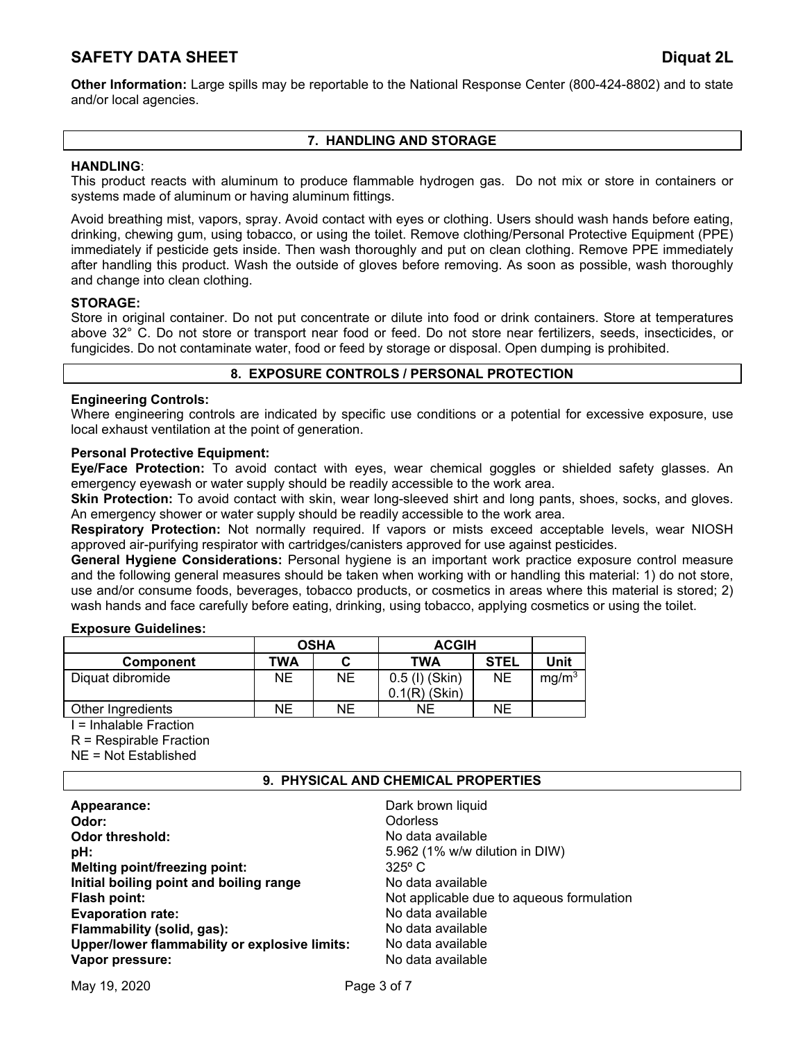**Other Information:** Large spills may be reportable to the National Response Center (800-424-8802) and to state and/or local agencies.

# **7. HANDLING AND STORAGE**

# **HANDLING**:

This product reacts with aluminum to produce flammable hydrogen gas. Do not mix or store in containers or systems made of aluminum or having aluminum fittings.

Avoid breathing mist, vapors, spray. Avoid contact with eyes or clothing. Users should wash hands before eating, drinking, chewing gum, using tobacco, or using the toilet. Remove clothing/Personal Protective Equipment (PPE) immediately if pesticide gets inside. Then wash thoroughly and put on clean clothing. Remove PPE immediately after handling this product. Wash the outside of gloves before removing. As soon as possible, wash thoroughly and change into clean clothing.

# **STORAGE:**

Store in original container. Do not put concentrate or dilute into food or drink containers. Store at temperatures above 32° C. Do not store or transport near food or feed. Do not store near fertilizers, seeds, insecticides, or fungicides. Do not contaminate water, food or feed by storage or disposal. Open dumping is prohibited.

# **8. EXPOSURE CONTROLS / PERSONAL PROTECTION**

# **Engineering Controls:**

Where engineering controls are indicated by specific use conditions or a potential for excessive exposure, use local exhaust ventilation at the point of generation.

# **Personal Protective Equipment:**

**Eye/Face Protection:** To avoid contact with eyes, wear chemical goggles or shielded safety glasses. An emergency eyewash or water supply should be readily accessible to the work area.

**Skin Protection:** To avoid contact with skin, wear long-sleeved shirt and long pants, shoes, socks, and gloves. An emergency shower or water supply should be readily accessible to the work area.

**Respiratory Protection:** Not normally required. If vapors or mists exceed acceptable levels, wear NIOSH approved air-purifying respirator with cartridges/canisters approved for use against pesticides.

**General Hygiene Considerations:** Personal hygiene is an important work practice exposure control measure and the following general measures should be taken when working with or handling this material: 1) do not store, use and/or consume foods, beverages, tobacco products, or cosmetics in areas where this material is stored; 2) wash hands and face carefully before eating, drinking, using tobacco, applying cosmetics or using the toilet.

### **Exposure Guidelines:**

|                   |           | <b>OSHA</b> | <b>ACGIH</b>                      |             |                   |
|-------------------|-----------|-------------|-----------------------------------|-------------|-------------------|
| <b>Component</b>  | TWA       |             | <b>TWA</b>                        | <b>STEL</b> | Unit              |
| Diquat dibromide  | <b>NE</b> | <b>NE</b>   | 0.5 (I) (Skin)<br>$0.1(R)$ (Skin) | ΝE          | mg/m <sup>3</sup> |
| Other Ingredients | NΕ        | NΕ          | NΕ                                | NΕ          |                   |

I = Inhalable Fraction

R = Respirable Fraction

NE = Not Established

### **9. PHYSICAL AND CHEMICAL PROPERTIES**

| Dark brown liquid<br>Appearance:<br><b>Odorless</b><br>Odor:<br><b>Odor threshold:</b><br>pH:<br>$325^\circ$ C<br>Melting point/freezing point:<br>Initial boiling point and boiling range<br>Flash point:<br><b>Evaporation rate:</b><br>Flammability (solid, gas):<br>Upper/lower flammability or explosive limits:<br>Vapor pressure: | No data available<br>5.962 (1% w/w dilution in DIW)<br>No data available<br>Not applicable due to aqueous formulation<br>No data available<br>No data available<br>No data available<br>No data available |
|------------------------------------------------------------------------------------------------------------------------------------------------------------------------------------------------------------------------------------------------------------------------------------------------------------------------------------------|-----------------------------------------------------------------------------------------------------------------------------------------------------------------------------------------------------------|
|------------------------------------------------------------------------------------------------------------------------------------------------------------------------------------------------------------------------------------------------------------------------------------------------------------------------------------------|-----------------------------------------------------------------------------------------------------------------------------------------------------------------------------------------------------------|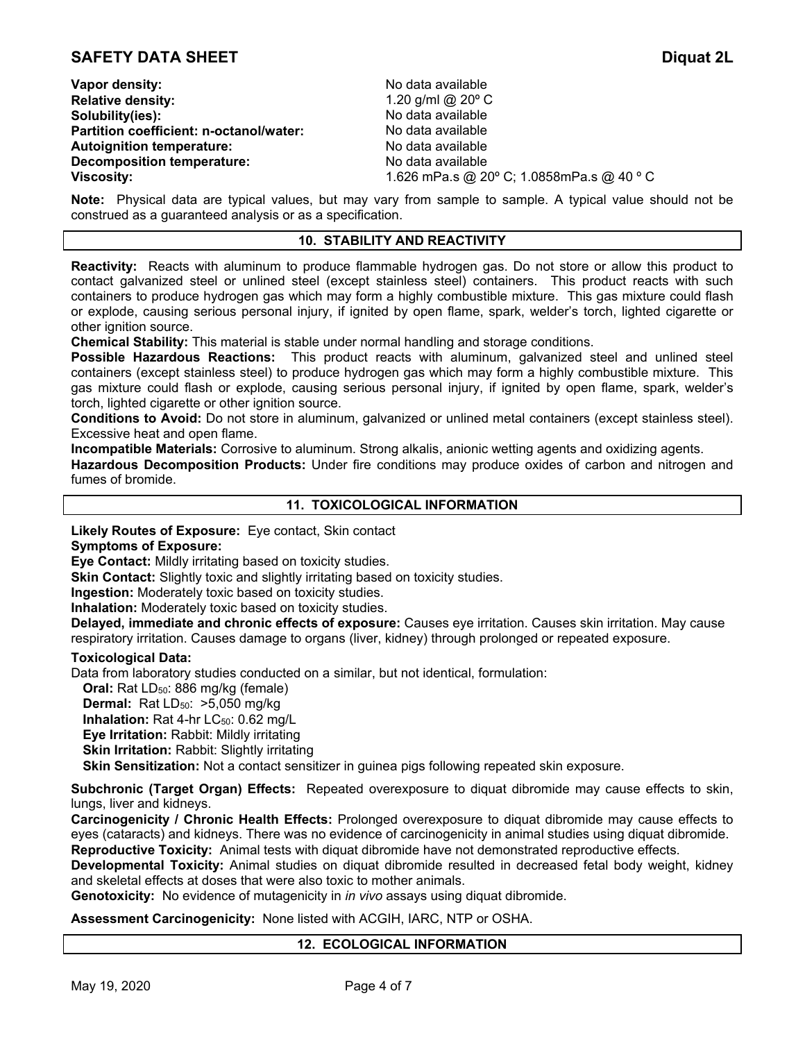**Vapor density:**  $\blacksquare$  **No data available Relative density:** 1.20 g/ml @ 20º C **Solubility(ies):** No data available **Partition coefficient: n-octanol/water: Autoignition temperature:** No data available **Decomposition temperature:** No data available

**Viscosity:** 1.626 mPa.s @ 20º C; 1.0858mPa.s @ 40 º C

**Note:** Physical data are typical values, but may vary from sample to sample. A typical value should not be construed as a guaranteed analysis or as a specification.

# **10. STABILITY AND REACTIVITY**

**Reactivity:** Reacts with aluminum to produce flammable hydrogen gas. Do not store or allow this product to contact galvanized steel or unlined steel (except stainless steel) containers. This product reacts with such containers to produce hydrogen gas which may form a highly combustible mixture. This gas mixture could flash or explode, causing serious personal injury, if ignited by open flame, spark, welder's torch, lighted cigarette or other ignition source.

**Chemical Stability:** This material is stable under normal handling and storage conditions.

**Possible Hazardous Reactions:** This product reacts with aluminum, galvanized steel and unlined steel containers (except stainless steel) to produce hydrogen gas which may form a highly combustible mixture. This gas mixture could flash or explode, causing serious personal injury, if ignited by open flame, spark, welder's torch, lighted cigarette or other ignition source.

**Conditions to Avoid:** Do not store in aluminum, galvanized or unlined metal containers (except stainless steel). Excessive heat and open flame.

**Incompatible Materials:** Corrosive to aluminum. Strong alkalis, anionic wetting agents and oxidizing agents.

**Hazardous Decomposition Products:** Under fire conditions may produce oxides of carbon and nitrogen and fumes of bromide.

# **11. TOXICOLOGICAL INFORMATION**

**Likely Routes of Exposure:** Eye contact, Skin contact

### **Symptoms of Exposure:**

**Eye Contact:** Mildly irritating based on toxicity studies.

**Skin Contact:** Slightly toxic and slightly irritating based on toxicity studies.

**Ingestion:** Moderately toxic based on toxicity studies.

**Inhalation:** Moderately toxic based on toxicity studies.

**Delayed, immediate and chronic effects of exposure:** Causes eye irritation. Causes skin irritation. May cause respiratory irritation. Causes damage to organs (liver, kidney) through prolonged or repeated exposure.

### **Toxicological Data:**

Data from laboratory studies conducted on a similar, but not identical, formulation:

**Oral:** Rat LD<sub>50</sub>: 886 mg/kg (female)

**Dermal:** Rat LD<sub>50</sub>: >5,050 mg/kg

**Inhalation:** Rat 4-hr LC<sub>50</sub>: 0.62 mg/L

**Eye Irritation:** Rabbit: Mildly irritating

**Skin Irritation: Rabbit: Slightly irritating** 

**Skin Sensitization:** Not a contact sensitizer in guinea pigs following repeated skin exposure.

**Subchronic (Target Organ) Effects:** Repeated overexposure to diquat dibromide may cause effects to skin, lungs, liver and kidneys.

**Carcinogenicity / Chronic Health Effects:** Prolonged overexposure to diquat dibromide may cause effects to eyes (cataracts) and kidneys. There was no evidence of carcinogenicity in animal studies using diquat dibromide. **Reproductive Toxicity:** Animal tests with diquat dibromide have not demonstrated reproductive effects.

**Developmental Toxicity:** Animal studies on diquat dibromide resulted in decreased fetal body weight, kidney

and skeletal effects at doses that were also toxic to mother animals.

**Genotoxicity:** No evidence of mutagenicity in *in vivo* assays using diquat dibromide.

**Assessment Carcinogenicity:** None listed with ACGIH, IARC, NTP or OSHA.

### **12. ECOLOGICAL INFORMATION**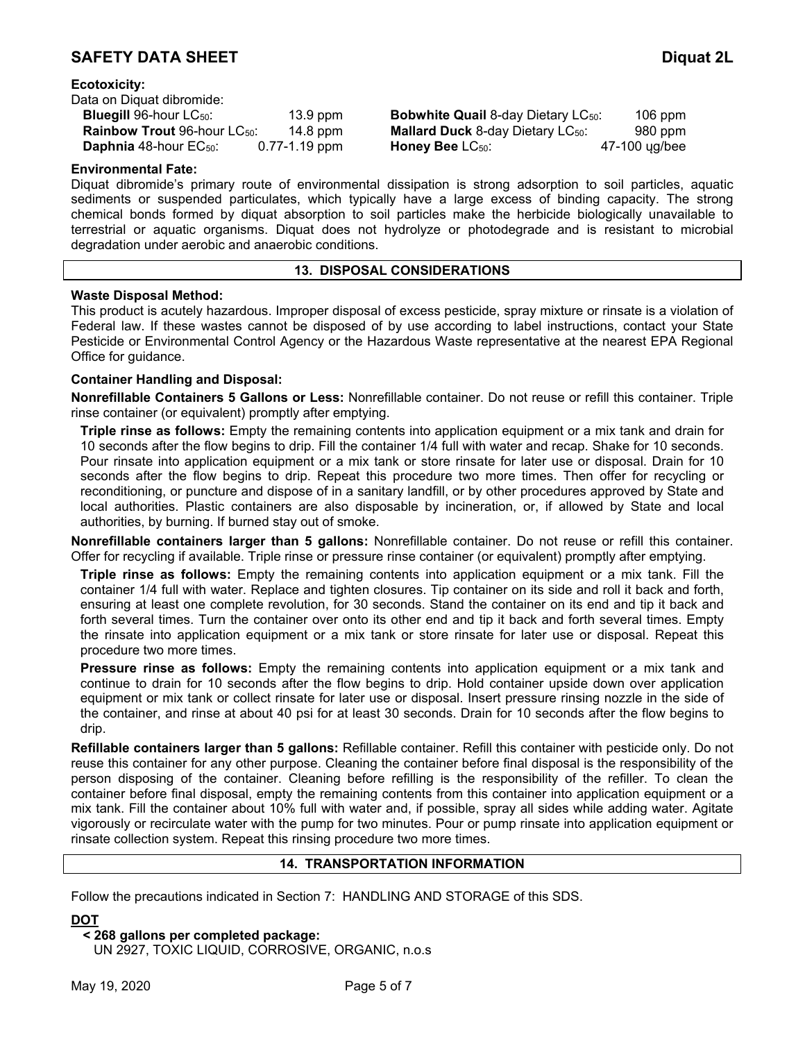| Data on Diquat dibromide:                |                   |
|------------------------------------------|-------------------|
| <b>Bluegill 96-hour LC50:</b>            | 13.9 ppm          |
| Rainbow Trout 96-hour LC <sub>50</sub> : | $14.8$ ppm        |
| Daphnia 48-hour EC <sub>50</sub> :       | $0.77 - 1.19$ ppm |

**Bobwhite Quail 8-day Dietary LC<sub>50</sub>: 106 ppm Mallard Duck** 8-day Dietary LC<sub>50</sub>: 980 ppm **Honey Bee** LC<sub>50</sub>: 47-100 ug/bee

# **Environmental Fate:**

Diquat dibromide's primary route of environmental dissipation is strong adsorption to soil particles, aquatic sediments or suspended particulates, which typically have a large excess of binding capacity. The strong chemical bonds formed by diquat absorption to soil particles make the herbicide biologically unavailable to terrestrial or aquatic organisms. Diquat does not hydrolyze or photodegrade and is resistant to microbial degradation under aerobic and anaerobic conditions.

### **13. DISPOSAL CONSIDERATIONS**

# **Waste Disposal Method:**

This product is acutely hazardous. Improper disposal of excess pesticide, spray mixture or rinsate is a violation of Federal law. If these wastes cannot be disposed of by use according to label instructions, contact your State Pesticide or Environmental Control Agency or the Hazardous Waste representative at the nearest EPA Regional Office for guidance.

# **Container Handling and Disposal:**

**Nonrefillable Containers 5 Gallons or Less:** Nonrefillable container. Do not reuse or refill this container. Triple rinse container (or equivalent) promptly after emptying.

**Triple rinse as follows:** Empty the remaining contents into application equipment or a mix tank and drain for 10 seconds after the flow begins to drip. Fill the container 1/4 full with water and recap. Shake for 10 seconds. Pour rinsate into application equipment or a mix tank or store rinsate for later use or disposal. Drain for 10 seconds after the flow begins to drip. Repeat this procedure two more times. Then offer for recycling or reconditioning, or puncture and dispose of in a sanitary landfill, or by other procedures approved by State and local authorities. Plastic containers are also disposable by incineration, or, if allowed by State and local authorities, by burning. If burned stay out of smoke.

**Nonrefillable containers larger than 5 gallons:** Nonrefillable container. Do not reuse or refill this container. Offer for recycling if available. Triple rinse or pressure rinse container (or equivalent) promptly after emptying.

**Triple rinse as follows:** Empty the remaining contents into application equipment or a mix tank. Fill the container 1/4 full with water. Replace and tighten closures. Tip container on its side and roll it back and forth, ensuring at least one complete revolution, for 30 seconds. Stand the container on its end and tip it back and forth several times. Turn the container over onto its other end and tip it back and forth several times. Empty the rinsate into application equipment or a mix tank or store rinsate for later use or disposal. Repeat this procedure two more times.

**Pressure rinse as follows:** Empty the remaining contents into application equipment or a mix tank and continue to drain for 10 seconds after the flow begins to drip. Hold container upside down over application equipment or mix tank or collect rinsate for later use or disposal. Insert pressure rinsing nozzle in the side of the container, and rinse at about 40 psi for at least 30 seconds. Drain for 10 seconds after the flow begins to drip.

**Refillable containers larger than 5 gallons:** Refillable container. Refill this container with pesticide only. Do not reuse this container for any other purpose. Cleaning the container before final disposal is the responsibility of the person disposing of the container. Cleaning before refilling is the responsibility of the refiller. To clean the container before final disposal, empty the remaining contents from this container into application equipment or a mix tank. Fill the container about 10% full with water and, if possible, spray all sides while adding water. Agitate vigorously or recirculate water with the pump for two minutes. Pour or pump rinsate into application equipment or rinsate collection system. Repeat this rinsing procedure two more times.

# **14. TRANSPORTATION INFORMATION**

Follow the precautions indicated in Section 7: HANDLING AND STORAGE of this SDS.

### **DOT**

# **< 268 gallons per completed package:**

UN 2927, TOXIC LIQUID, CORROSIVE, ORGANIC, n.o.s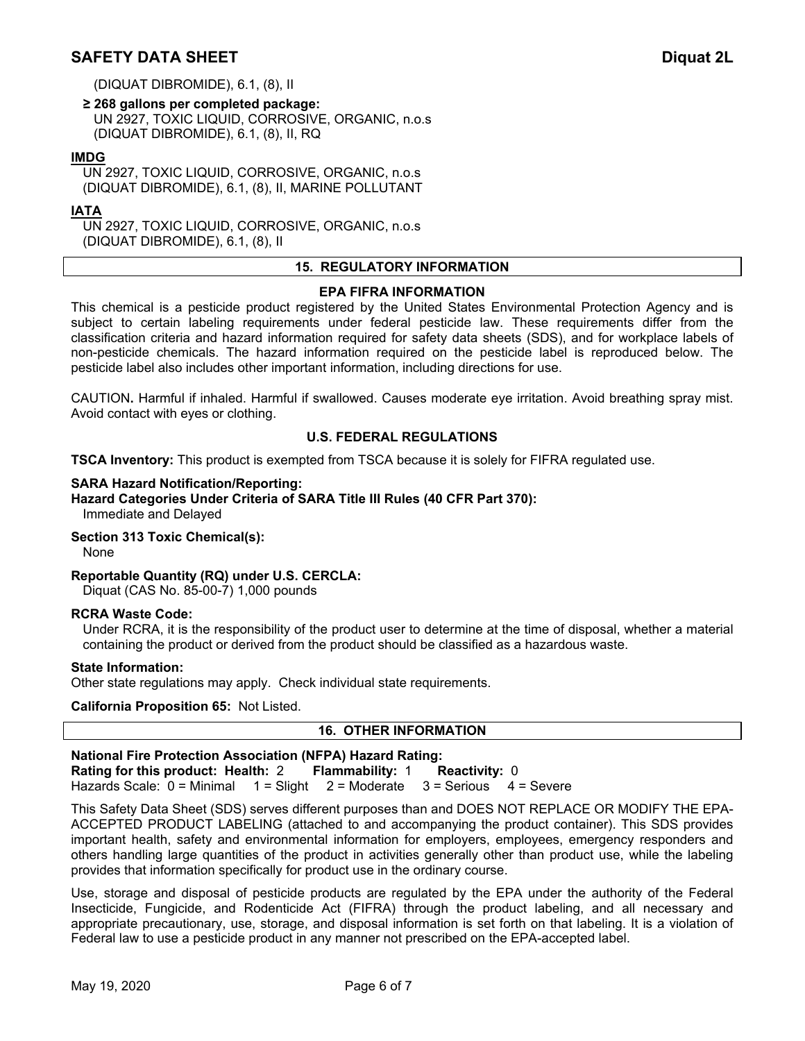(DIQUAT DIBROMIDE), 6.1, (8), II

**≥ 268 gallons per completed package:**  UN 2927, TOXIC LIQUID, CORROSIVE, ORGANIC, n.o.s (DIQUAT DIBROMIDE), 6.1, (8), II, RQ

# **IMDG**

UN 2927, TOXIC LIQUID, CORROSIVE, ORGANIC, n.o.s (DIQUAT DIBROMIDE), 6.1, (8), II, MARINE POLLUTANT

# **IATA**

UN 2927, TOXIC LIQUID, CORROSIVE, ORGANIC, n.o.s (DIQUAT DIBROMIDE), 6.1, (8), II

### **15. REGULATORY INFORMATION**

#### **EPA FIFRA INFORMATION**

This chemical is a pesticide product registered by the United States Environmental Protection Agency and is subject to certain labeling requirements under federal pesticide law. These requirements differ from the classification criteria and hazard information required for safety data sheets (SDS), and for workplace labels of non-pesticide chemicals. The hazard information required on the pesticide label is reproduced below. The pesticide label also includes other important information, including directions for use.

CAUTION**.** Harmful if inhaled. Harmful if swallowed. Causes moderate eye irritation. Avoid breathing spray mist. Avoid contact with eyes or clothing.

# **U.S. FEDERAL REGULATIONS**

**TSCA Inventory:** This product is exempted from TSCA because it is solely for FIFRA regulated use.

### **SARA Hazard Notification/Reporting:**

**Hazard Categories Under Criteria of SARA Title III Rules (40 CFR Part 370):** Immediate and Delayed

### **Section 313 Toxic Chemical(s):**

None

### **Reportable Quantity (RQ) under U.S. CERCLA:**

Diquat (CAS No. 85-00-7) 1,000 pounds

### **RCRA Waste Code:**

Under RCRA, it is the responsibility of the product user to determine at the time of disposal, whether a material containing the product or derived from the product should be classified as a hazardous waste.

#### **State Information:**

Other state regulations may apply. Check individual state requirements.

#### **California Proposition 65:** Not Listed.

# **16. OTHER INFORMATION National Fire Protection Association (NFPA) Hazard Rating: Rating for this product: Health:** 2 **Flammability:** 1 **Reactivity:** 0 Hazards Scale: 0 = Minimal 1 = Slight 2 = Moderate 3 = Serious 4 = Severe

This Safety Data Sheet (SDS) serves different purposes than and DOES NOT REPLACE OR MODIFY THE EPA-ACCEPTED PRODUCT LABELING (attached to and accompanying the product container). This SDS provides important health, safety and environmental information for employers, employees, emergency responders and others handling large quantities of the product in activities generally other than product use, while the labeling provides that information specifically for product use in the ordinary course.

Use, storage and disposal of pesticide products are regulated by the EPA under the authority of the Federal Insecticide, Fungicide, and Rodenticide Act (FIFRA) through the product labeling, and all necessary and appropriate precautionary, use, storage, and disposal information is set forth on that labeling. It is a violation of Federal law to use a pesticide product in any manner not prescribed on the EPA-accepted label.